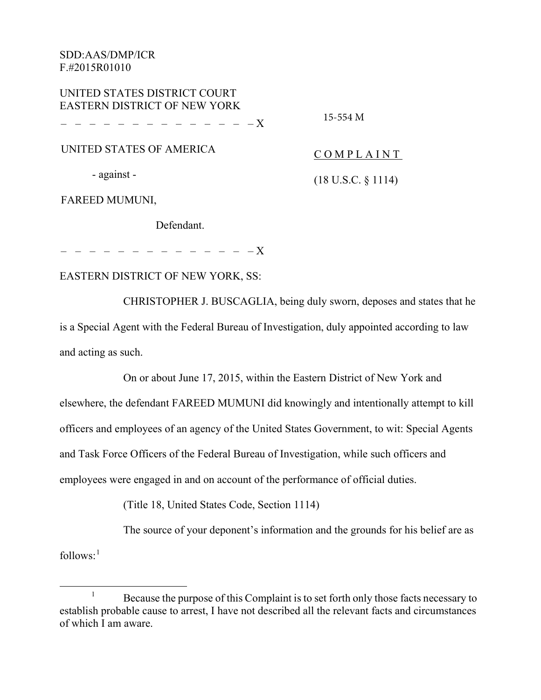| UNITED STATES DISTRICT COURT                                       |                               |
|--------------------------------------------------------------------|-------------------------------|
| <b>EASTERN DISTRICT OF NEW YORK</b><br>. _ _ _ _ _ _ _ _ _ _ _ _ _ | 15-554 M                      |
| UNITED STATES OF AMERICA                                           | COMPLAINT                     |
| - against -                                                        | $(18 \text{ U.S.C. } § 1114)$ |

FAREED MUMUNI,

Defendant.

– – – – – – – – – – – – – – X

## EASTERN DISTRICT OF NEW YORK, SS:

CHRISTOPHER J. BUSCAGLIA, being duly sworn, deposes and states that he is a Special Agent with the Federal Bureau of Investigation, duly appointed according to law and acting as such.

On or about June 17, 2015, within the Eastern District of New York and elsewhere, the defendant FAREED MUMUNI did knowingly and intentionally attempt to kill officers and employees of an agency of the United States Government, to wit: Special Agents and Task Force Officers of the Federal Bureau of Investigation, while such officers and employees were engaged in and on account of the performance of official duties.

(Title 18, United States Code, Section 1114)

The source of your deponent's information and the grounds for his belief are as  $follows<sup>1</sup>$ 

 $1$  Because the purpose of this Complaint is to set forth only those facts necessary to establish probable cause to arrest, I have not described all the relevant facts and circumstances of which I am aware.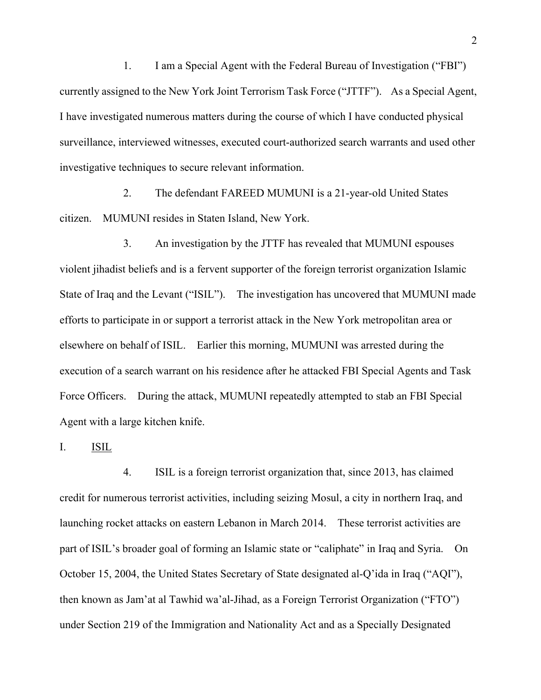1. I am a Special Agent with the Federal Bureau of Investigation ("FBI") currently assigned to the New York Joint Terrorism Task Force ("JTTF"). As a Special Agent, I have investigated numerous matters during the course of which I have conducted physical surveillance, interviewed witnesses, executed court-authorized search warrants and used other investigative techniques to secure relevant information.

2. The defendant FAREED MUMUNI is a 21-year-old United States citizen. MUMUNI resides in Staten Island, New York.

3. An investigation by the JTTF has revealed that MUMUNI espouses violent jihadist beliefs and is a fervent supporter of the foreign terrorist organization Islamic State of Iraq and the Levant ("ISIL"). The investigation has uncovered that MUMUNI made efforts to participate in or support a terrorist attack in the New York metropolitan area or elsewhere on behalf of ISIL. Earlier this morning, MUMUNI was arrested during the execution of a search warrant on his residence after he attacked FBI Special Agents and Task Force Officers. During the attack, MUMUNI repeatedly attempted to stab an FBI Special Agent with a large kitchen knife.

I. ISIL

4. ISIL is a foreign terrorist organization that, since 2013, has claimed credit for numerous terrorist activities, including seizing Mosul, a city in northern Iraq, and launching rocket attacks on eastern Lebanon in March 2014. These terrorist activities are part of ISIL's broader goal of forming an Islamic state or "caliphate" in Iraq and Syria. On October 15, 2004, the United States Secretary of State designated al-Q'ida in Iraq ("AQI"), then known as Jam'at al Tawhid wa'al-Jihad, as a Foreign Terrorist Organization ("FTO") under Section 219 of the Immigration and Nationality Act and as a Specially Designated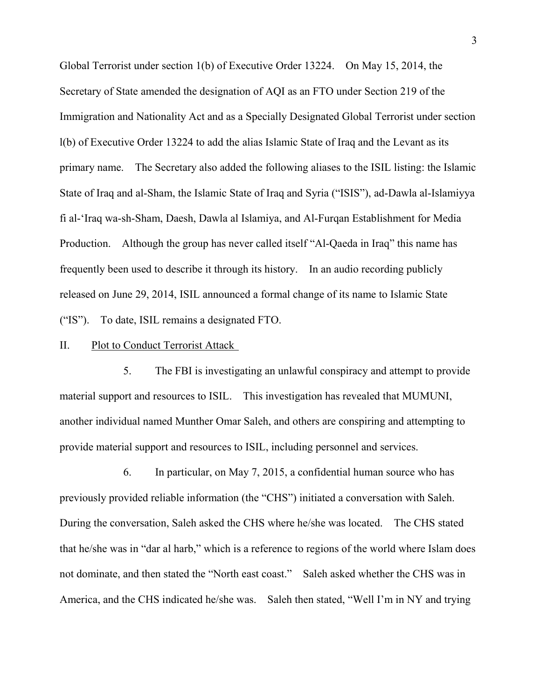Global Terrorist under section 1(b) of Executive Order 13224. On May 15, 2014, the Secretary of State amended the designation of AQI as an FTO under Section 219 of the Immigration and Nationality Act and as a Specially Designated Global Terrorist under section l(b) of Executive Order 13224 to add the alias Islamic State of Iraq and the Levant as its primary name. The Secretary also added the following aliases to the ISIL listing: the Islamic State of Iraq and al-Sham, the Islamic State of Iraq and Syria ("ISIS"), ad-Dawla al-Islamiyya fi al-'Iraq wa-sh-Sham, Daesh, Dawla al Islamiya, and Al-Furqan Establishment for Media Production. Although the group has never called itself "Al-Qaeda in Iraq" this name has frequently been used to describe it through its history. In an audio recording publicly released on June 29, 2014, ISIL announced a formal change of its name to Islamic State ("IS"). To date, ISIL remains a designated FTO.

### II. Plot to Conduct Terrorist Attack

5. The FBI is investigating an unlawful conspiracy and attempt to provide material support and resources to ISIL. This investigation has revealed that MUMUNI, another individual named Munther Omar Saleh, and others are conspiring and attempting to provide material support and resources to ISIL, including personnel and services.

6. In particular, on May 7, 2015, a confidential human source who has previously provided reliable information (the "CHS") initiated a conversation with Saleh. During the conversation, Saleh asked the CHS where he/she was located. The CHS stated that he/she was in "dar al harb," which is a reference to regions of the world where Islam does not dominate, and then stated the "North east coast." Saleh asked whether the CHS was in America, and the CHS indicated he/she was. Saleh then stated, "Well I'm in NY and trying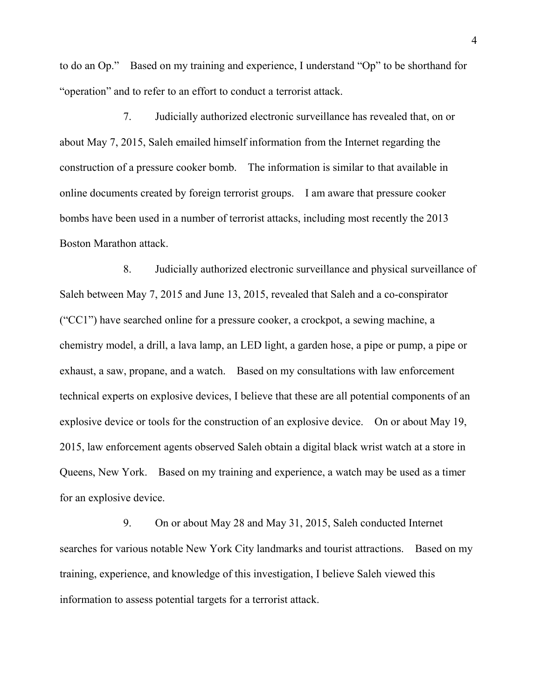to do an Op." Based on my training and experience, I understand "Op" to be shorthand for "operation" and to refer to an effort to conduct a terrorist attack.

7. Judicially authorized electronic surveillance has revealed that, on or about May 7, 2015, Saleh emailed himself information from the Internet regarding the construction of a pressure cooker bomb. The information is similar to that available in online documents created by foreign terrorist groups. I am aware that pressure cooker bombs have been used in a number of terrorist attacks, including most recently the 2013 Boston Marathon attack.

8. Judicially authorized electronic surveillance and physical surveillance of Saleh between May 7, 2015 and June 13, 2015, revealed that Saleh and a co-conspirator ("CC1") have searched online for a pressure cooker, a crockpot, a sewing machine, a chemistry model, a drill, a lava lamp, an LED light, a garden hose, a pipe or pump, a pipe or exhaust, a saw, propane, and a watch. Based on my consultations with law enforcement technical experts on explosive devices, I believe that these are all potential components of an explosive device or tools for the construction of an explosive device. On or about May 19, 2015, law enforcement agents observed Saleh obtain a digital black wrist watch at a store in Queens, New York. Based on my training and experience, a watch may be used as a timer for an explosive device.

9. On or about May 28 and May 31, 2015, Saleh conducted Internet searches for various notable New York City landmarks and tourist attractions. Based on my training, experience, and knowledge of this investigation, I believe Saleh viewed this information to assess potential targets for a terrorist attack.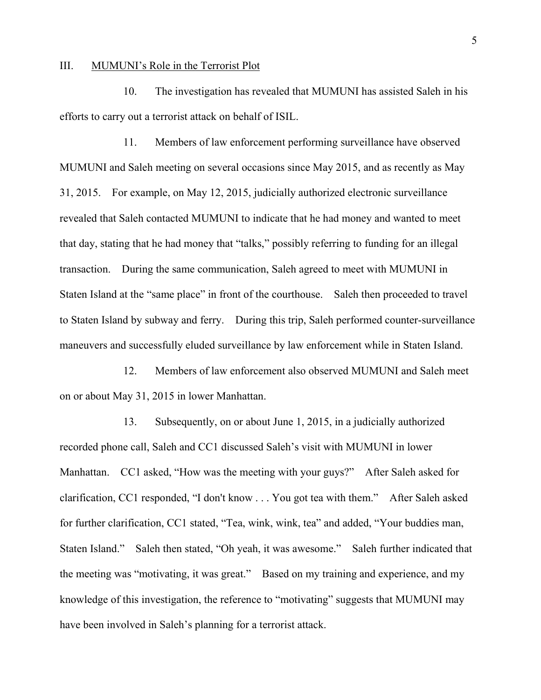#### III. MUMUNI's Role in the Terrorist Plot

10. The investigation has revealed that MUMUNI has assisted Saleh in his efforts to carry out a terrorist attack on behalf of ISIL.

11. Members of law enforcement performing surveillance have observed MUMUNI and Saleh meeting on several occasions since May 2015, and as recently as May 31, 2015. For example, on May 12, 2015, judicially authorized electronic surveillance revealed that Saleh contacted MUMUNI to indicate that he had money and wanted to meet that day, stating that he had money that "talks," possibly referring to funding for an illegal transaction. During the same communication, Saleh agreed to meet with MUMUNI in Staten Island at the "same place" in front of the courthouse. Saleh then proceeded to travel to Staten Island by subway and ferry. During this trip, Saleh performed counter-surveillance maneuvers and successfully eluded surveillance by law enforcement while in Staten Island.

12. Members of law enforcement also observed MUMUNI and Saleh meet on or about May 31, 2015 in lower Manhattan.

13. Subsequently, on or about June 1, 2015, in a judicially authorized recorded phone call, Saleh and CC1 discussed Saleh's visit with MUMUNI in lower Manhattan. CC1 asked, "How was the meeting with your guys?" After Saleh asked for clarification, CC1 responded, "I don't know . . . You got tea with them." After Saleh asked for further clarification, CC1 stated, "Tea, wink, wink, tea" and added, "Your buddies man, Staten Island." Saleh then stated, "Oh yeah, it was awesome." Saleh further indicated that the meeting was "motivating, it was great." Based on my training and experience, and my knowledge of this investigation, the reference to "motivating" suggests that MUMUNI may have been involved in Saleh's planning for a terrorist attack.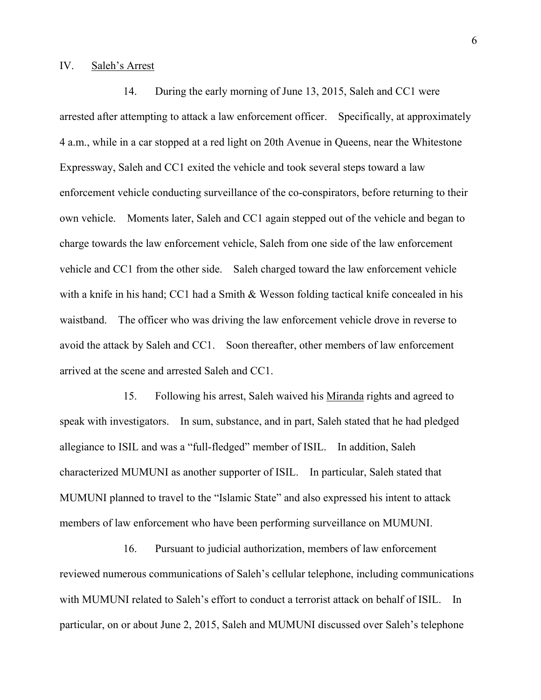#### IV. Saleh's Arrest

14. During the early morning of June 13, 2015, Saleh and CC1 were arrested after attempting to attack a law enforcement officer. Specifically, at approximately 4 a.m., while in a car stopped at a red light on 20th Avenue in Queens, near the Whitestone Expressway, Saleh and CC1 exited the vehicle and took several steps toward a law enforcement vehicle conducting surveillance of the co-conspirators, before returning to their own vehicle. Moments later, Saleh and CC1 again stepped out of the vehicle and began to charge towards the law enforcement vehicle, Saleh from one side of the law enforcement vehicle and CC1 from the other side. Saleh charged toward the law enforcement vehicle with a knife in his hand; CC1 had a Smith & Wesson folding tactical knife concealed in his waistband. The officer who was driving the law enforcement vehicle drove in reverse to avoid the attack by Saleh and CC1. Soon thereafter, other members of law enforcement arrived at the scene and arrested Saleh and CC1.

15. Following his arrest, Saleh waived his Miranda rights and agreed to speak with investigators. In sum, substance, and in part, Saleh stated that he had pledged allegiance to ISIL and was a "full-fledged" member of ISIL. In addition, Saleh characterized MUMUNI as another supporter of ISIL. In particular, Saleh stated that MUMUNI planned to travel to the "Islamic State" and also expressed his intent to attack members of law enforcement who have been performing surveillance on MUMUNI.

16. Pursuant to judicial authorization, members of law enforcement reviewed numerous communications of Saleh's cellular telephone, including communications with MUMUNI related to Saleh's effort to conduct a terrorist attack on behalf of ISIL. In particular, on or about June 2, 2015, Saleh and MUMUNI discussed over Saleh's telephone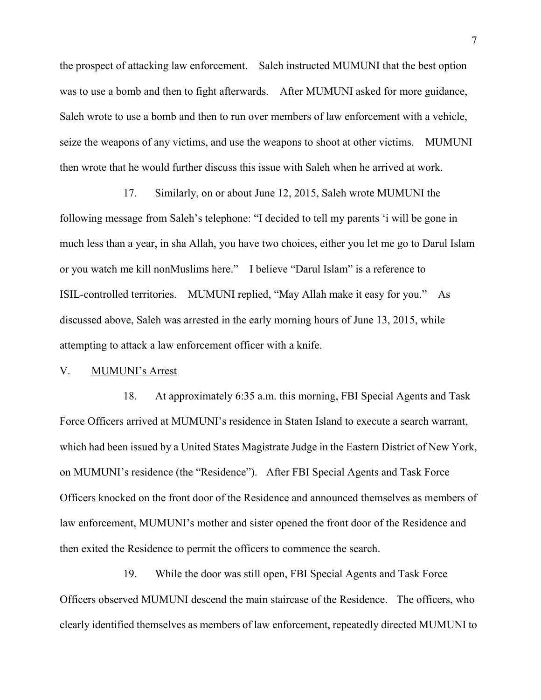the prospect of attacking law enforcement. Saleh instructed MUMUNI that the best option was to use a bomb and then to fight afterwards. After MUMUNI asked for more guidance, Saleh wrote to use a bomb and then to run over members of law enforcement with a vehicle, seize the weapons of any victims, and use the weapons to shoot at other victims. MUMUNI then wrote that he would further discuss this issue with Saleh when he arrived at work.

17. Similarly, on or about June 12, 2015, Saleh wrote MUMUNI the following message from Saleh's telephone: "I decided to tell my parents 'i will be gone in much less than a year, in sha Allah, you have two choices, either you let me go to Darul Islam or you watch me kill nonMuslims here." I believe "Darul Islam" is a reference to ISIL-controlled territories. MUMUNI replied, "May Allah make it easy for you." As discussed above, Saleh was arrested in the early morning hours of June 13, 2015, while attempting to attack a law enforcement officer with a knife.

### V. MUMUNI's Arrest

18. At approximately 6:35 a.m. this morning, FBI Special Agents and Task Force Officers arrived at MUMUNI's residence in Staten Island to execute a search warrant, which had been issued by a United States Magistrate Judge in the Eastern District of New York, on MUMUNI's residence (the "Residence"). After FBI Special Agents and Task Force Officers knocked on the front door of the Residence and announced themselves as members of law enforcement, MUMUNI's mother and sister opened the front door of the Residence and then exited the Residence to permit the officers to commence the search.

19. While the door was still open, FBI Special Agents and Task Force Officers observed MUMUNI descend the main staircase of the Residence. The officers, who clearly identified themselves as members of law enforcement, repeatedly directed MUMUNI to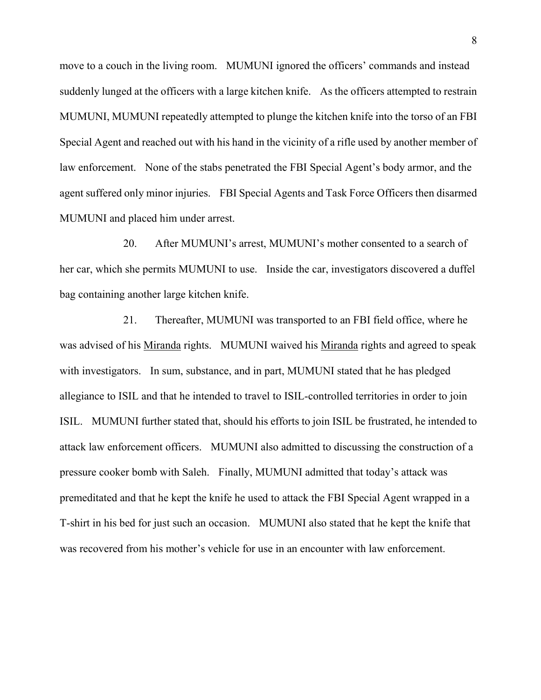move to a couch in the living room. MUMUNI ignored the officers' commands and instead suddenly lunged at the officers with a large kitchen knife. As the officers attempted to restrain MUMUNI, MUMUNI repeatedly attempted to plunge the kitchen knife into the torso of an FBI Special Agent and reached out with his hand in the vicinity of a rifle used by another member of law enforcement. None of the stabs penetrated the FBI Special Agent's body armor, and the agent suffered only minor injuries. FBI Special Agents and Task Force Officers then disarmed MUMUNI and placed him under arrest.

20. After MUMUNI's arrest, MUMUNI's mother consented to a search of her car, which she permits MUMUNI to use. Inside the car, investigators discovered a duffel bag containing another large kitchen knife.

21. Thereafter, MUMUNI was transported to an FBI field office, where he was advised of his Miranda rights. MUMUNI waived his Miranda rights and agreed to speak with investigators. In sum, substance, and in part, MUMUNI stated that he has pledged allegiance to ISIL and that he intended to travel to ISIL-controlled territories in order to join ISIL. MUMUNI further stated that, should his efforts to join ISIL be frustrated, he intended to attack law enforcement officers. MUMUNI also admitted to discussing the construction of a pressure cooker bomb with Saleh. Finally, MUMUNI admitted that today's attack was premeditated and that he kept the knife he used to attack the FBI Special Agent wrapped in a T-shirt in his bed for just such an occasion. MUMUNI also stated that he kept the knife that was recovered from his mother's vehicle for use in an encounter with law enforcement.